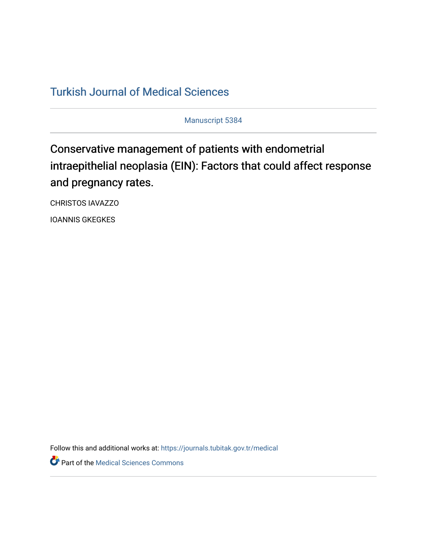## [Turkish Journal of Medical Sciences](https://journals.tubitak.gov.tr/medical)

Manuscript 5384

## Conservative management of patients with endometrial intraepithelial neoplasia (EIN): Factors that could affect response and pregnancy rates.

CHRISTOS IAVAZZO

IOANNIS GKEGKES

Follow this and additional works at: [https://journals.tubitak.gov.tr/medical](https://journals.tubitak.gov.tr/medical?utm_source=journals.tubitak.gov.tr%2Fmedical%2Fvol52%2Fiss3%2F42&utm_medium=PDF&utm_campaign=PDFCoverPages) 

**Part of the Medical Sciences Commons**